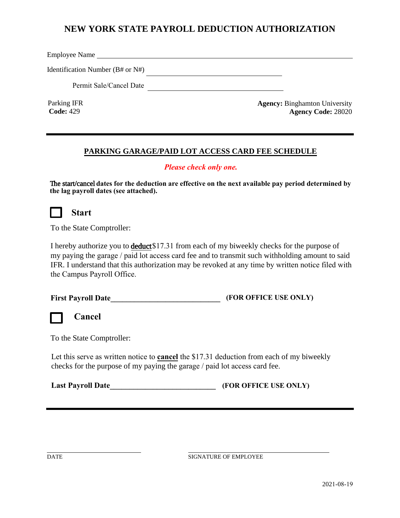## **NEW YORK STATE PAYROLL DEDUCTION AUTHORIZATION**

Employee Name

Identification Number (B# or N#)

Permit Sale/Cancel Date

Parking IFR **Code:** 429

**Agency:** Binghamton University **Agency Code:** 28020

## **PARKING GARAGE/PAID LOT ACCESS CARD FEE SCHEDULE**

## *Please check only one.*

The start/cancel **dates for the deduction are effective on the next available pay period determined by the lag payroll dates (see attached).**

## **Start**

To the State Comptroller:

I hereby authorize you to deduct \$17.31 from each of my biweekly checks for the purpose of my paying the garage / paid lot access card fee and to transmit such withholding amount to said IFR. I understand that this authorization may be revoked at any time by written notice filed with the Campus Payroll Office.

| <b>First Payroll Date</b> | (FOR OFFICE USE ONLY) |
|---------------------------|-----------------------|
|---------------------------|-----------------------|



**Cancel**

To the State Comptroller:

Let this serve as written notice to **cancel** the \$17.31 deduction from each of my biweekly checks for the purpose of my paying the garage / paid lot access card fee.

**Last Payroll Date** (FOR OFFICE USE ONLY)

DATE SIGNATURE OF EMPLOYEE